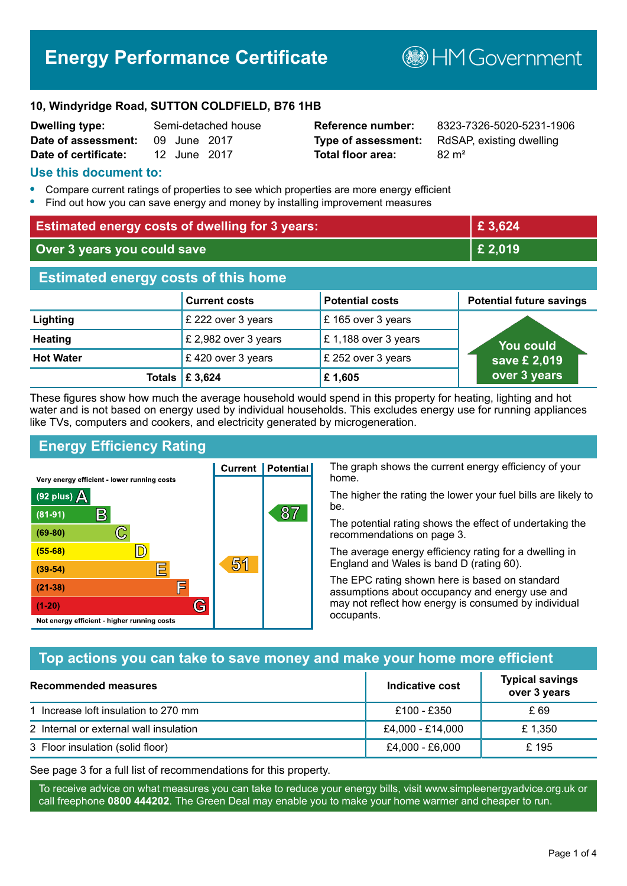# **Energy Performance Certificate**

**B**HM Government

#### **10, Windyridge Road, SUTTON COLDFIELD, B76 1HB**

| <b>Dwelling type:</b>            |              | Semi-detached hous |
|----------------------------------|--------------|--------------------|
| Date of assessment: 09 June 2017 |              |                    |
| Date of certificate:             | 12 June 2017 |                    |

# **Total floor area:** 82 m<sup>2</sup>

**Dwelling type:** Semi-detached house **Reference number:** 8323-7326-5020-5231-1906 **Type of assessment:** RdSAP, existing dwelling

#### **Use this document to:**

- **•** Compare current ratings of properties to see which properties are more energy efficient
- **•** Find out how you can save energy and money by installing improvement measures

| <b>Estimated energy costs of dwelling for 3 years:</b> |                           |                        | £3,624                          |
|--------------------------------------------------------|---------------------------|------------------------|---------------------------------|
| Over 3 years you could save                            |                           | £ 2,019                |                                 |
| <b>Estimated energy costs of this home</b>             |                           |                        |                                 |
|                                                        | <b>Current costs</b>      | <b>Potential costs</b> | <b>Potential future savings</b> |
| Lighting                                               | £ 222 over 3 years        | £165 over 3 years      |                                 |
| <b>Heating</b>                                         | £ 2,982 over 3 years      | £1,188 over 3 years    | You could                       |
| <b>Hot Water</b>                                       | £420 over 3 years         | £ 252 over 3 years     | save £ 2,019                    |
|                                                        | Totals $\mathsf{E}$ 3,624 | £1,605                 | over 3 years                    |

These figures show how much the average household would spend in this property for heating, lighting and hot water and is not based on energy used by individual households. This excludes energy use for running appliances like TVs, computers and cookers, and electricity generated by microgeneration.

**Current | Potential** 

51

87

# **Energy Efficiency Rating**

 $\mathbb{C}$ 

 $\mathbb{D}$ 

E

庐

G

Very energy efficient - lower running costs

 $\mathsf{R}% _{T}$ 

Not energy efficient - higher running costs

 $(92$  plus)

 $(81 - 91)$ 

 $(69 - 80)$ 

 $(55-68)$ 

 $(39 - 54)$ 

 $(21-38)$ 

 $(1-20)$ 

- 70

The graph shows the current energy efficiency of your home.

The higher the rating the lower your fuel bills are likely to be.

The potential rating shows the effect of undertaking the recommendations on page 3.

The average energy efficiency rating for a dwelling in England and Wales is band D (rating 60).

The EPC rating shown here is based on standard assumptions about occupancy and energy use and may not reflect how energy is consumed by individual occupants.

# **Top actions you can take to save money and make your home more efficient**

| Recommended measures                   | Indicative cost  | <b>Typical savings</b><br>over 3 years |
|----------------------------------------|------------------|----------------------------------------|
| 1 Increase loft insulation to 270 mm   | £100 - £350      | £ 69                                   |
| 2 Internal or external wall insulation | £4,000 - £14,000 | £1.350                                 |
| 3 Floor insulation (solid floor)       | £4,000 - £6,000  | £195                                   |

See page 3 for a full list of recommendations for this property.

To receive advice on what measures you can take to reduce your energy bills, visit www.simpleenergyadvice.org.uk or call freephone **0800 444202**. The Green Deal may enable you to make your home warmer and cheaper to run.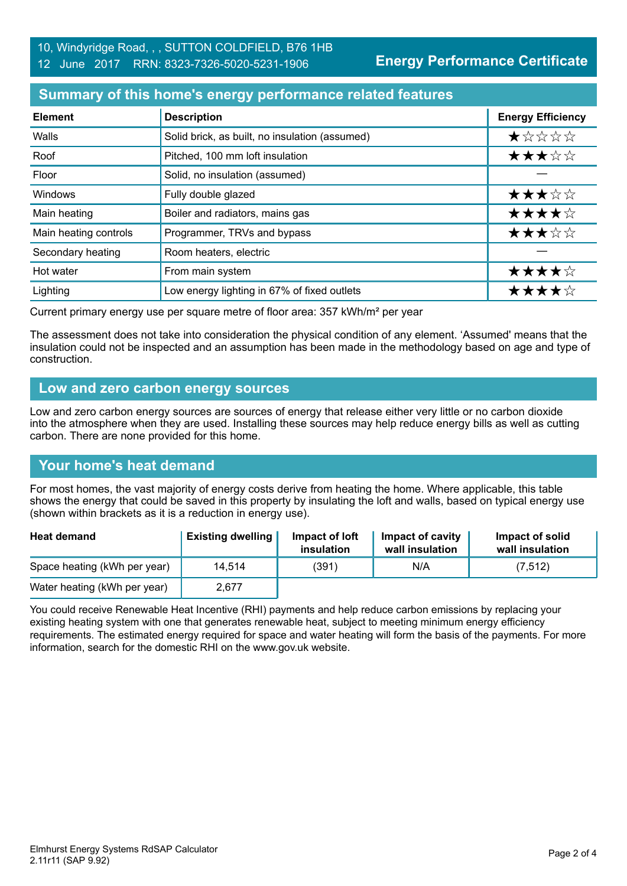# **Summary of this home's energy performance related features**

| <b>Element</b>        | <b>Description</b>                             | <b>Energy Efficiency</b> |
|-----------------------|------------------------------------------------|--------------------------|
| Walls                 | Solid brick, as built, no insulation (assumed) | *****                    |
| Roof                  | Pitched, 100 mm loft insulation                | ★★★☆☆                    |
| Floor                 | Solid, no insulation (assumed)                 |                          |
| Windows               | Fully double glazed                            | ★★★☆☆                    |
| Main heating          | Boiler and radiators, mains gas                | ★★★★☆                    |
| Main heating controls | Programmer, TRVs and bypass                    | ★★★☆☆                    |
| Secondary heating     | Room heaters, electric                         |                          |
| Hot water             | From main system                               | ★★★★☆                    |
| Lighting              | Low energy lighting in 67% of fixed outlets    | ★★★★☆                    |

Current primary energy use per square metre of floor area: 357 kWh/m² per year

The assessment does not take into consideration the physical condition of any element. 'Assumed' means that the insulation could not be inspected and an assumption has been made in the methodology based on age and type of construction.

#### **Low and zero carbon energy sources**

Low and zero carbon energy sources are sources of energy that release either very little or no carbon dioxide into the atmosphere when they are used. Installing these sources may help reduce energy bills as well as cutting carbon. There are none provided for this home.

# **Your home's heat demand**

For most homes, the vast majority of energy costs derive from heating the home. Where applicable, this table shows the energy that could be saved in this property by insulating the loft and walls, based on typical energy use (shown within brackets as it is a reduction in energy use).

| <b>Heat demand</b>           | <b>Existing dwelling</b> | Impact of loft<br>insulation | Impact of cavity<br>wall insulation | Impact of solid<br>wall insulation |
|------------------------------|--------------------------|------------------------------|-------------------------------------|------------------------------------|
| Space heating (kWh per year) | 14.514                   | (391)                        | N/A                                 | (7, 512)                           |
| Water heating (kWh per year) | 2.677                    |                              |                                     |                                    |

You could receive Renewable Heat Incentive (RHI) payments and help reduce carbon emissions by replacing your existing heating system with one that generates renewable heat, subject to meeting minimum energy efficiency requirements. The estimated energy required for space and water heating will form the basis of the payments. For more information, search for the domestic RHI on the www.gov.uk website.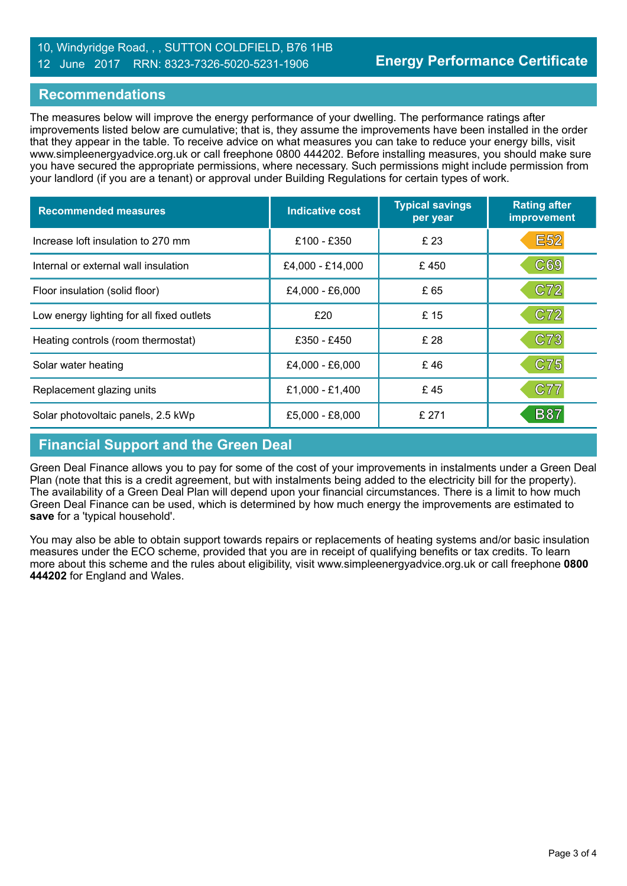### 10, Windyridge Road, , , SUTTON COLDFIELD, B76 1HB 12 June 2017 RRN: 8323-7326-5020-5231-1906

#### **Recommendations**

The measures below will improve the energy performance of your dwelling. The performance ratings after improvements listed below are cumulative; that is, they assume the improvements have been installed in the order that they appear in the table. To receive advice on what measures you can take to reduce your energy bills, visit www.simpleenergyadvice.org.uk or call freephone 0800 444202. Before installing measures, you should make sure you have secured the appropriate permissions, where necessary. Such permissions might include permission from your landlord (if you are a tenant) or approval under Building Regulations for certain types of work.

| <b>Recommended measures</b>               | <b>Indicative cost</b> | <b>Typical savings</b><br>per year | <b>Rating after</b><br>improvement |
|-------------------------------------------|------------------------|------------------------------------|------------------------------------|
| Increase loft insulation to 270 mm        | £100 - £350            | £ 23                               | <b>E52</b>                         |
| Internal or external wall insulation      | £4,000 - £14,000       | £450                               | C69                                |
| Floor insulation (solid floor)            | £4,000 - £6,000        | £ 65                               | C72                                |
| Low energy lighting for all fixed outlets | £20                    | £ 15                               | C72                                |
| Heating controls (room thermostat)        | £350 - £450            | £ 28                               | C73                                |
| Solar water heating                       | £4,000 - £6,000        | £46                                | C75                                |
| Replacement glazing units                 | £1,000 - £1,400        | £45                                | C77                                |
| Solar photovoltaic panels, 2.5 kWp        | £5,000 - £8,000        | £271                               | <b>B87</b>                         |

#### **Financial Support and the Green Deal**

Green Deal Finance allows you to pay for some of the cost of your improvements in instalments under a Green Deal Plan (note that this is a credit agreement, but with instalments being added to the electricity bill for the property). The availability of a Green Deal Plan will depend upon your financial circumstances. There is a limit to how much Green Deal Finance can be used, which is determined by how much energy the improvements are estimated to **save** for a 'typical household'.

You may also be able to obtain support towards repairs or replacements of heating systems and/or basic insulation measures under the ECO scheme, provided that you are in receipt of qualifying benefits or tax credits. To learn more about this scheme and the rules about eligibility, visit www.simpleenergyadvice.org.uk or call freephone **0800 444202** for England and Wales.